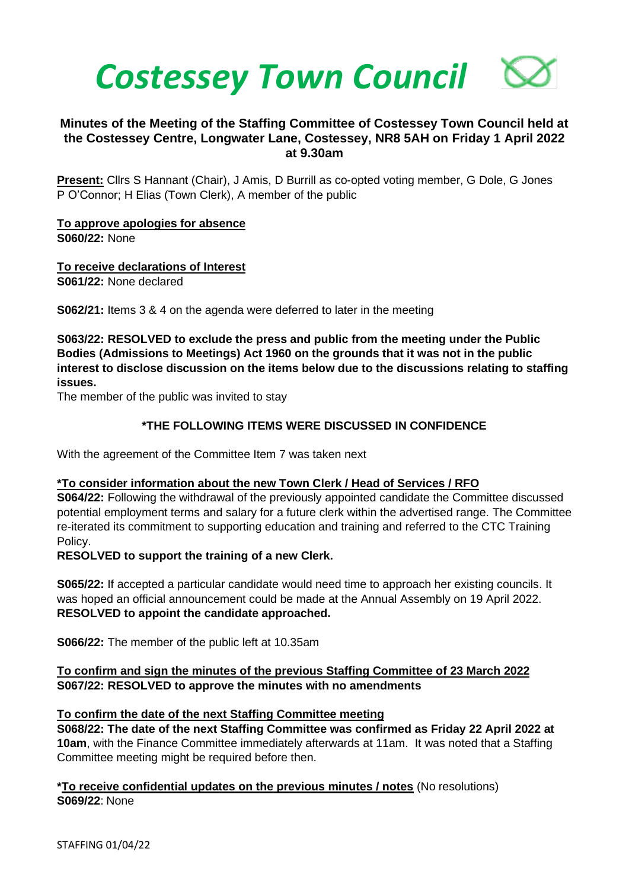

# **Minutes of the Meeting of the Staffing Committee of Costessey Town Council held at the Costessey Centre, Longwater Lane, Costessey, NR8 5AH on Friday 1 April 2022 at 9.30am**

**Present:** Cllrs S Hannant (Chair), J Amis, D Burrill as co-opted voting member, G Dole, G Jones P O'Connor; H Elias (Town Clerk), A member of the public

**To approve apologies for absence S060/22:** None

**To receive declarations of Interest S061/22:** None declared

**S062/21:** Items 3 & 4 on the agenda were deferred to later in the meeting

**S063/22: RESOLVED to exclude the press and public from the meeting under the Public Bodies (Admissions to Meetings) Act 1960 on the grounds that it was not in the public interest to disclose discussion on the items below due to the discussions relating to staffing issues.** 

The member of the public was invited to stay

### **\*THE FOLLOWING ITEMS WERE DISCUSSED IN CONFIDENCE**

With the agreement of the Committee Item 7 was taken next

#### **\*To consider information about the new Town Clerk / Head of Services / RFO**

**S064/22:** Following the withdrawal of the previously appointed candidate the Committee discussed potential employment terms and salary for a future clerk within the advertised range. The Committee re-iterated its commitment to supporting education and training and referred to the CTC Training Policy.

### **RESOLVED to support the training of a new Clerk.**

**S065/22:** If accepted a particular candidate would need time to approach her existing councils. It was hoped an official announcement could be made at the Annual Assembly on 19 April 2022. **RESOLVED to appoint the candidate approached.**

**S066/22:** The member of the public left at 10.35am

### **To confirm and sign the minutes of the previous Staffing Committee of 23 March 2022 S067/22: RESOLVED to approve the minutes with no amendments**

#### **To confirm the date of the next Staffing Committee meeting**

**S068/22: The date of the next Staffing Committee was confirmed as Friday 22 April 2022 at 10am**, with the Finance Committee immediately afterwards at 11am. It was noted that a Staffing Committee meeting might be required before then.

#### **\*To receive confidential updates on the previous minutes / notes** (No resolutions) **S069/22**: None

STAFFING 01/04/22